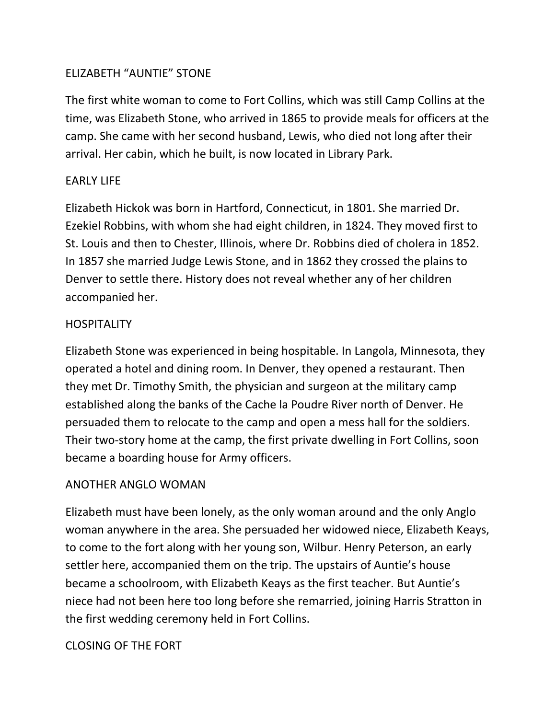## ELIZABETH "AUNTIE" STONE

The first white woman to come to Fort Collins, which was still Camp Collins at the time, was Elizabeth Stone, who arrived in 1865 to provide meals for officers at the camp. She came with her second husband, Lewis, who died not long after their arrival. Her cabin, which he built, is now located in Library Park.

## EARLY LIFE

Elizabeth Hickok was born in Hartford, Connecticut, in 1801. She married Dr. Ezekiel Robbins, with whom she had eight children, in 1824. They moved first to St. Louis and then to Chester, Illinois, where Dr. Robbins died of cholera in 1852. In 1857 she married Judge Lewis Stone, and in 1862 they crossed the plains to Denver to settle there. History does not reveal whether any of her children accompanied her.

## **HOSPITALITY**

Elizabeth Stone was experienced in being hospitable. In Langola, Minnesota, they operated a hotel and dining room. In Denver, they opened a restaurant. Then they met Dr. Timothy Smith, the physician and surgeon at the military camp established along the banks of the Cache la Poudre River north of Denver. He persuaded them to relocate to the camp and open a mess hall for the soldiers. Their two-story home at the camp, the first private dwelling in Fort Collins, soon became a boarding house for Army officers.

### ANOTHER ANGLO WOMAN

Elizabeth must have been lonely, as the only woman around and the only Anglo woman anywhere in the area. She persuaded her widowed niece, Elizabeth Keays, to come to the fort along with her young son, Wilbur. Henry Peterson, an early settler here, accompanied them on the trip. The upstairs of Auntie's house became a schoolroom, with Elizabeth Keays as the first teacher. But Auntie's niece had not been here too long before she remarried, joining Harris Stratton in the first wedding ceremony held in Fort Collins.

### CLOSING OF THE FORT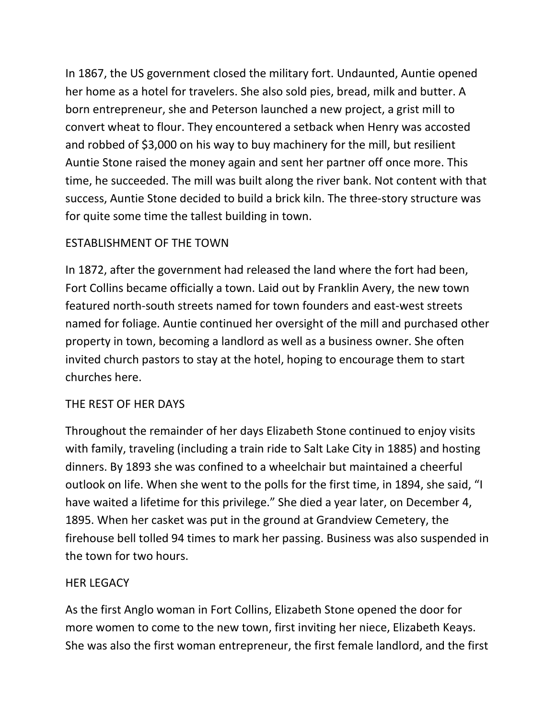In 1867, the US government closed the military fort. Undaunted, Auntie opened her home as a hotel for travelers. She also sold pies, bread, milk and butter. A born entrepreneur, she and Peterson launched a new project, a grist mill to convert wheat to flour. They encountered a setback when Henry was accosted and robbed of \$3,000 on his way to buy machinery for the mill, but resilient Auntie Stone raised the money again and sent her partner off once more. This time, he succeeded. The mill was built along the river bank. Not content with that success, Auntie Stone decided to build a brick kiln. The three-story structure was for quite some time the tallest building in town.

## ESTABLISHMENT OF THE TOWN

In 1872, after the government had released the land where the fort had been, Fort Collins became officially a town. Laid out by Franklin Avery, the new town featured north-south streets named for town founders and east-west streets named for foliage. Auntie continued her oversight of the mill and purchased other property in town, becoming a landlord as well as a business owner. She often invited church pastors to stay at the hotel, hoping to encourage them to start churches here.

#### THE REST OF HER DAYS

Throughout the remainder of her days Elizabeth Stone continued to enjoy visits with family, traveling (including a train ride to Salt Lake City in 1885) and hosting dinners. By 1893 she was confined to a wheelchair but maintained a cheerful outlook on life. When she went to the polls for the first time, in 1894, she said, "I have waited a lifetime for this privilege." She died a year later, on December 4, 1895. When her casket was put in the ground at Grandview Cemetery, the firehouse bell tolled 94 times to mark her passing. Business was also suspended in the town for two hours.

### HER LEGACY

As the first Anglo woman in Fort Collins, Elizabeth Stone opened the door for more women to come to the new town, first inviting her niece, Elizabeth Keays. She was also the first woman entrepreneur, the first female landlord, and the first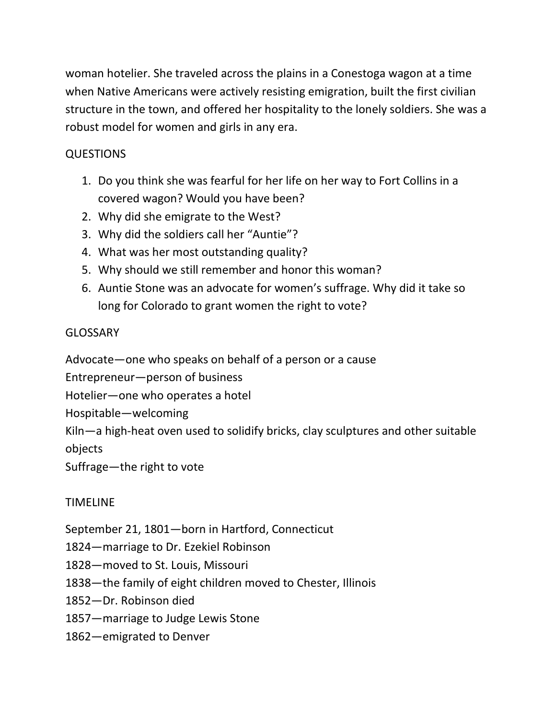woman hotelier. She traveled across the plains in a Conestoga wagon at a time when Native Americans were actively resisting emigration, built the first civilian structure in the town, and offered her hospitality to the lonely soldiers. She was a robust model for women and girls in any era.

# QUESTIONS

- 1. Do you think she was fearful for her life on her way to Fort Collins in a covered wagon? Would you have been?
- 2. Why did she emigrate to the West?
- 3. Why did the soldiers call her "Auntie"?
- 4. What was her most outstanding quality?
- 5. Why should we still remember and honor this woman?
- 6. Auntie Stone was an advocate for women's suffrage. Why did it take so long for Colorado to grant women the right to vote?

# GLOSSARY

Advocate—one who speaks on behalf of a person or a cause

Entrepreneur—person of business

Hotelier—one who operates a hotel

Hospitable—welcoming

Kiln—a high-heat oven used to solidify bricks, clay sculptures and other suitable objects

Suffrage—the right to vote

# TIMELINE

September 21, 1801—born in Hartford, Connecticut

1824—marriage to Dr. Ezekiel Robinson

1828—moved to St. Louis, Missouri

1838—the family of eight children moved to Chester, Illinois

1852—Dr. Robinson died

1857—marriage to Judge Lewis Stone

1862—emigrated to Denver